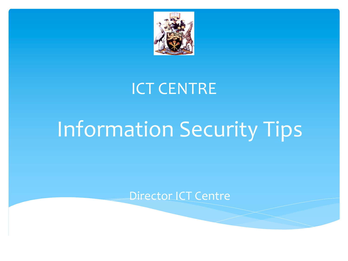

#### ICT CENTRE

# Information Security Tips

Director ICT Centre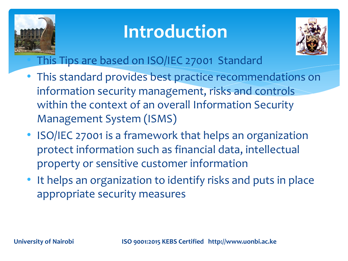

### **Introduction**



• This Tips are based on ISO/IEC 27001 Standard

- This standard provides best practice recommendations on information security management, risks and controls within the context of an overall Information Security Management System (ISMS)
- ISO/IEC 27001 is a framework that helps an organization protect information such as financial data, intellectual property or sensitive customer information
- It helps an organization to identify risks and puts in place appropriate security measures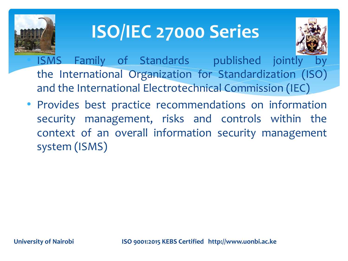

### **ISO/IEC 27000 Series**



ISMS Family of Standards published jointly the International Organization for Standardization (ISO) and the International Electrotechnical Commission (IEC)

• Provides best practice recommendations on information security management, risks and controls within the context of an overall information security management system (ISMS)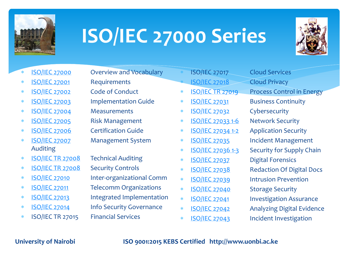

# **ISO/IEC 27000 Series**



- 
- \* ISO/IEC 27001 Requirements
- \* ISO/IEC 27002 Code of Conduct
- 
- \* ISO/IEC 27004 Measurements
- \* ISO/IEC 27005 Risk Management
- \* ISO/IEC 27006 Certification Guide
- Auditing
- \* ISO/IEC TR 27008 Technical Auditing
- \* ISO/IEC TR 27008 Security Controls
- 
- 
- 
- 
- \* ISO/IEC TR 27015 Financial Services
- \* ISO/IEC 27000 Overview and Vocabulary
	-
	-
- \* ISO/IEC 27003 Implementation Guide
	-
	-
	-
- \* ISO/IEC 27007 Management System
	-
	-
- \* ISO/IEC 27010 Inter-organizational Comm
- \* ISO/IEC 27011 Telecomm Organizations
- \* ISO/IEC 27013 Integrated Implementation
- \* ISO/IEC 27014 Info Security Governance
	-
- -
	-
	-
	-
	-
	-
	- ISO/IEC 27017 Cloud Services **ISO/IEC 27018** Cloud Privacy **ISO/IEC TR 27019** Process Control in Energy \* ISO/IEC 27031 Business Continuity \* ISO/IEC 27032 Cybersecurity \* ISO/IEC 27033 1-6 Network Security \* ISO/IEC 27034 1-2 Application Security \* ISO/IEC 27035 Incident Management \* ISO/IEC 27036 1-3 Security for Supply Chain \* ISO/IEC 27037 Digital Forensics \* ISO/IEC 27038 Redaction Of Digital Docs \* ISO/IEC 27039 Intrusion Prevention \* ISO/IEC 27040 Storage Security \* ISO/IEC 27041 Investigation Assurance \* ISO/IEC 27042 Analyzing Digital Evidence \* ISO/IEC 27043 Incident Investigation

**University of Nairobi ISO 9001:2015 KEBS Certified http://www.uonbi.ac.ke**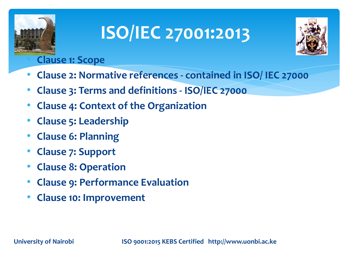



#### • **Clause 1: Scope**

- **Clause 2: Normative references - contained in ISO/ IEC 27000**
- **Clause 3: Terms and definitions - ISO/IEC 27000**
- **Clause 4: Context of the Organization**
- **Clause 5: Leadership**
- **Clause 6: Planning**
- **Clause 7: Support**
- **Clause 8: Operation**
- **Clause 9: Performance Evaluation**
- **Clause 10: Improvement**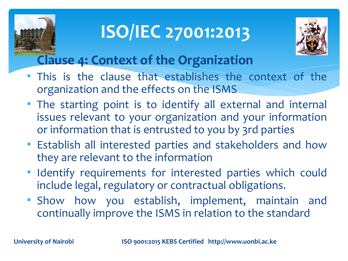



#### **Clause 4: Context of the Organization**

- This is the clause that establishes the context of the organization and the effects on the ISMS
- The starting point is to identify all external and internal issues relevant to your organization and your information or information that is entrusted to you by 3rd parties
- Establish all interested parties and stakeholders and how they are relevant to the information
- Identify requirements for interested parties which could include legal, regulatory or contractual obligations.
- Show how you establish, implement, maintain and continually improve the ISMS in relation to the standard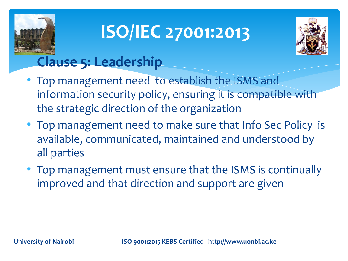



#### **Clause 5: Leadership**

- Top management need to establish the ISMS and information security policy, ensuring it is compatible with the strategic direction of the organization
- Top management need to make sure that Info Sec Policy is available, communicated, maintained and understood by all parties
- Top management must ensure that the ISMS is continually improved and that direction and support are given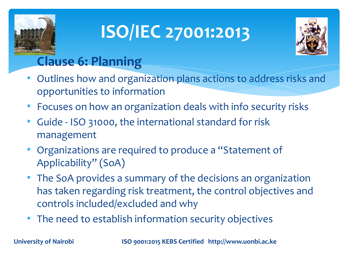



#### **Clause 6: Planning**

- Outlines how and organization plans actions to address risks and opportunities to information
- Focuses on how an organization deals with info security risks
- Guide ISO 31000, the international standard for risk management
- Organizations are required to produce a "Statement of Applicability" (SoA)
- The SoA provides a summary of the decisions an organization has taken regarding risk treatment, the control objectives and controls included/excluded and why
- The need to establish information security objectives

**University of Nairobi ISO 9001:2015 KEBS Certified http://www.uonbi.ac.ke**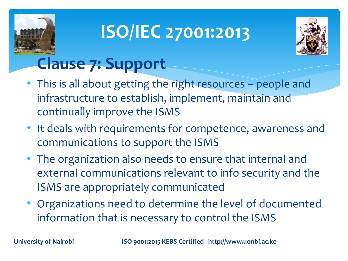



#### **Clause 7: Support**

- This is all about getting the right resources people and infrastructure to establish, implement, maintain and continually improve the ISMS
- It deals with requirements for competence, awareness and communications to support the ISMS
- The organization also needs to ensure that internal and external communications relevant to info security and the ISMS are appropriately communicated
- Organizations need to determine the level of documented information that is necessary to control the ISMS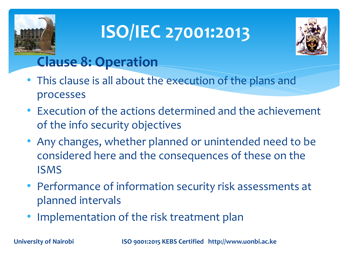



#### **Clause 8: Operation**

- This clause is all about the execution of the plans and processes
- Execution of the actions determined and the achievement of the info security objectives
- Any changes, whether planned or unintended need to be considered here and the consequences of these on the ISMS
- Performance of information security risk assessments at planned intervals
- Implementation of the risk treatment plan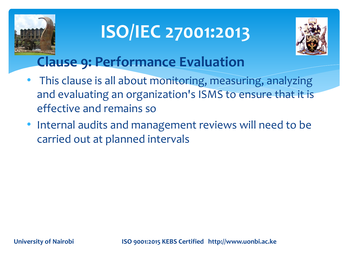



#### **Clause 9: Performance Evaluation**

- This clause is all about monitoring, measuring, analyzing and evaluating an organization's ISMS to ensure that it is effective and remains so
- Internal audits and management reviews will need to be carried out at planned intervals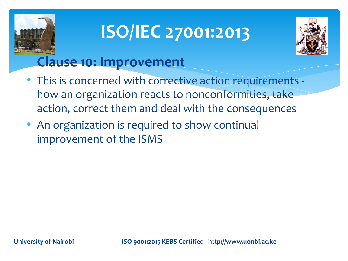



#### **Clause 10: Improvement**

- This is concerned with corrective action requirements how an organization reacts to nonconformities, take action, correct them and deal with the consequences
- An organization is required to show continual improvement of the ISMS